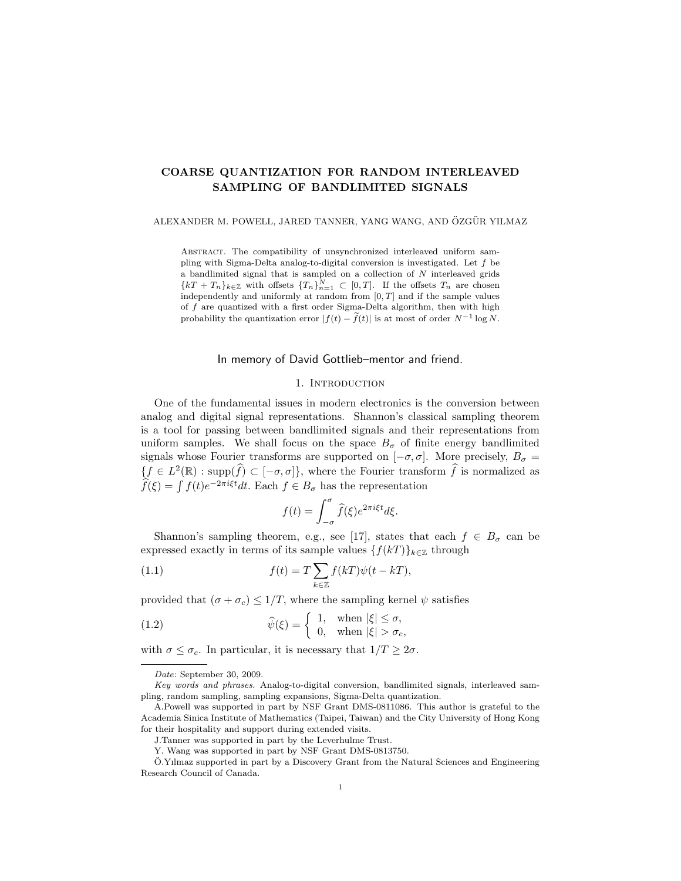# COARSE QUANTIZATION FOR RANDOM INTERLEAVED SAMPLING OF BANDLIMITED SIGNALS

ALEXANDER M. POWELL, JARED TANNER, YANG WANG, AND ÖZGÜR YILMAZ

Abstract. The compatibility of unsynchronized interleaved uniform sampling with Sigma-Delta analog-to-digital conversion is investigated. Let  $f$  be a bandlimited signal that is sampled on a collection of  $N$  interleaved grids  ${kT + T_n}_{k \in \mathbb{Z}}$  with offsets  ${T_n}_{n=1}^N \subset [0, T]$ . If the offsets  $T_n$  are chosen independently and uniformly at random from  $[0, T]$  and if the sample values of f are quantized with a first order Sigma-Delta algorithm, then with high probability the quantization error  $|f(t) - \tilde{f}(t)|$  is at most of order  $N^{-1} \log N$ .

# In memory of David Gottlieb–mentor and friend.

# 1. INTRODUCTION

One of the fundamental issues in modern electronics is the conversion between analog and digital signal representations. Shannon's classical sampling theorem is a tool for passing between bandlimited signals and their representations from uniform samples. We shall focus on the space  $B_{\sigma}$  of finite energy bandlimited signals whose Fourier transforms are supported on  $[-\sigma, \sigma]$ . More precisely,  $B_{\sigma} =$  $\{f \in L^2(\mathbb{R}) : \text{supp}(\widehat{f}) \subset [-\sigma, \sigma]\},$  where the Fourier transform  $\widehat{f}$  is normalized as  $\widehat{f}(\xi) = \int f(t)e^{-2\pi i \xi t}dt$ . Each  $f \in B_{\sigma}$  has the representation

$$
f(t) = \int_{-\sigma}^{\sigma} \hat{f}(\xi) e^{2\pi i \xi t} d\xi.
$$

Shannon's sampling theorem, e.g., see [17], states that each  $f \in B_{\sigma}$  can be expressed exactly in terms of its sample values  $\{f(kT)\}_{k\in\mathbb{Z}}$  through

(1.1) 
$$
f(t) = T \sum_{k \in \mathbb{Z}} f(kT) \psi(t - kT),
$$

provided that  $(\sigma + \sigma_c) \leq 1/T$ , where the sampling kernel  $\psi$  satisfies

(1.2) 
$$
\widehat{\psi}(\xi) = \begin{cases} 1, & \text{when } |\xi| \le \sigma, \\ 0, & \text{when } |\xi| > \sigma_c, \end{cases}
$$

with  $\sigma \leq \sigma_c$ . In particular, it is necessary that  $1/T \geq 2\sigma$ .

Date: September 30, 2009.

Key words and phrases. Analog-to-digital conversion, bandlimited signals, interleaved sampling, random sampling, sampling expansions, Sigma-Delta quantization.

A.Powell was supported in part by NSF Grant DMS-0811086. This author is grateful to the Academia Sinica Institute of Mathematics (Taipei, Taiwan) and the City University of Hong Kong for their hospitality and support during extended visits.

J.Tanner was supported in part by the Leverhulme Trust.

Y. Wang was supported in part by NSF Grant DMS-0813750.

O.Yılmaz supported in part by a Discovery Grant from the Natural Sciences and Engineering ¨ Research Council of Canada.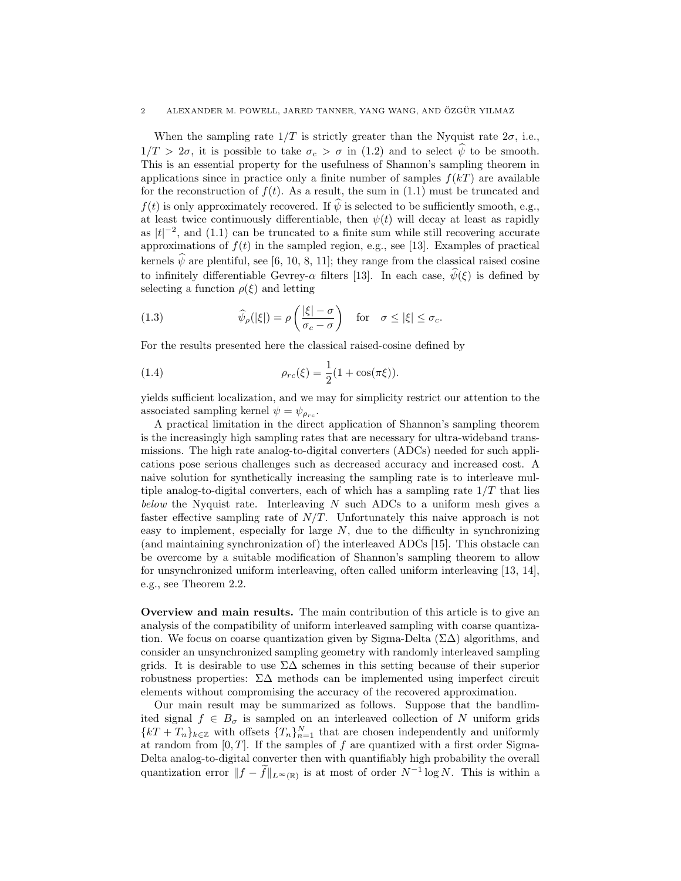When the sampling rate  $1/T$  is strictly greater than the Nyquist rate  $2\sigma$ , i.e.,  $1/T > 2\sigma$ , it is possible to take  $\sigma_c > \sigma$  in (1.2) and to select  $\hat{\psi}$  to be smooth. This is an essential property for the usefulness of Shannon's sampling theorem in applications since in practice only a finite number of samples  $f(kT)$  are available for the reconstruction of  $f(t)$ . As a result, the sum in (1.1) must be truncated and  $f(t)$  is only approximately recovered. If  $\psi$  is selected to be sufficiently smooth, e.g., at least twice continuously differentiable, then  $\psi(t)$  will decay at least as rapidly as  $|t|^{-2}$ , and (1.1) can be truncated to a finite sum while still recovering accurate approximations of  $f(t)$  in the sampled region, e.g., see [13]. Examples of practical kernels  $\hat{\psi}$  are plentiful, see [6, 10, 8, 11]; they range from the classical raised cosine to infinitely differentiable Gevrey- $\alpha$  filters [13]. In each case,  $\hat{\psi}(\xi)$  is defined by selecting a function  $\rho(\xi)$  and letting

(1.3) 
$$
\widehat{\psi}_{\rho}(|\xi|) = \rho \left( \frac{|\xi| - \sigma}{\sigma_c - \sigma} \right) \quad \text{for} \quad \sigma \leq |\xi| \leq \sigma_c.
$$

For the results presented here the classical raised-cosine defined by

(1.4) 
$$
\rho_{rc}(\xi) = \frac{1}{2}(1 + \cos(\pi \xi)).
$$

yields sufficient localization, and we may for simplicity restrict our attention to the associated sampling kernel  $\psi = \psi_{\rho_{rc}}$ .

A practical limitation in the direct application of Shannon's sampling theorem is the increasingly high sampling rates that are necessary for ultra-wideband transmissions. The high rate analog-to-digital converters (ADCs) needed for such applications pose serious challenges such as decreased accuracy and increased cost. A naive solution for synthetically increasing the sampling rate is to interleave multiple analog-to-digital converters, each of which has a sampling rate  $1/T$  that lies below the Nyquist rate. Interleaving  $N$  such ADCs to a uniform mesh gives a faster effective sampling rate of  $N/T$ . Unfortunately this naive approach is not easy to implement, especially for large  $N$ , due to the difficulty in synchronizing (and maintaining synchronization of) the interleaved ADCs [15]. This obstacle can be overcome by a suitable modification of Shannon's sampling theorem to allow for unsynchronized uniform interleaving, often called uniform interleaving [13, 14], e.g., see Theorem 2.2.

Overview and main results. The main contribution of this article is to give an analysis of the compatibility of uniform interleaved sampling with coarse quantization. We focus on coarse quantization given by Sigma-Delta  $(\Sigma \Delta)$  algorithms, and consider an unsynchronized sampling geometry with randomly interleaved sampling grids. It is desirable to use  $\Sigma\Delta$  schemes in this setting because of their superior robustness properties:  $\Sigma\Delta$  methods can be implemented using imperfect circuit elements without compromising the accuracy of the recovered approximation.

Our main result may be summarized as follows. Suppose that the bandlimited signal  $f \in B_{\sigma}$  is sampled on an interleaved collection of N uniform grids  ${kT + T_n}_{k \in \mathbb{Z}}$  with offsets  ${T_n}_{n=1}^N$  that are chosen independently and uniformly at random from  $[0, T]$ . If the samples of f are quantized with a first order Sigma-Delta analog-to-digital converter then with quantifiably high probability the overall quantization error  $||f - \tilde{f}||_{L^{\infty}(\mathbb{R})}$  is at most of order  $N^{-1} \log N$ . This is within a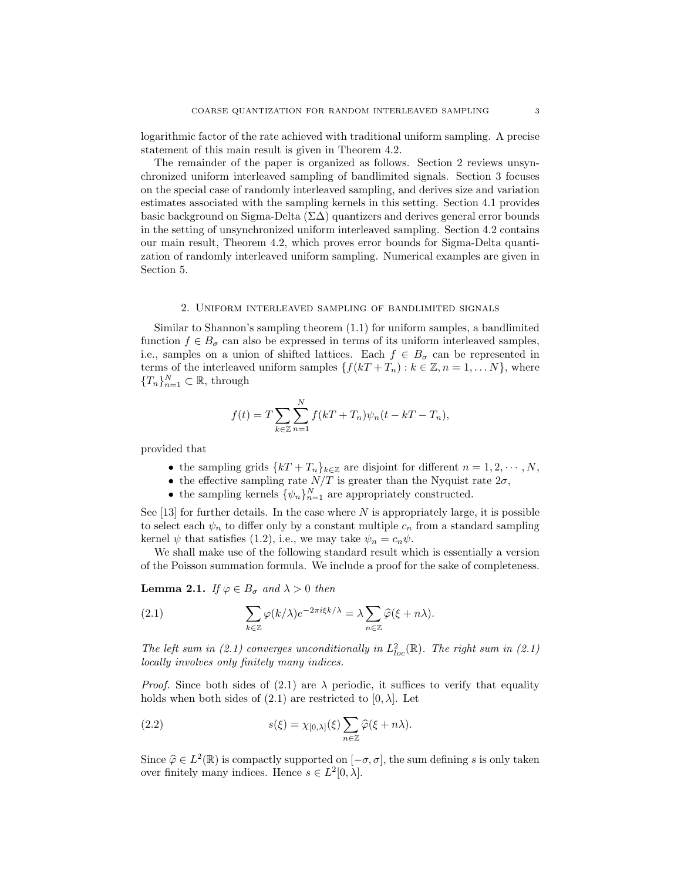logarithmic factor of the rate achieved with traditional uniform sampling. A precise statement of this main result is given in Theorem 4.2.

The remainder of the paper is organized as follows. Section 2 reviews unsynchronized uniform interleaved sampling of bandlimited signals. Section 3 focuses on the special case of randomly interleaved sampling, and derives size and variation estimates associated with the sampling kernels in this setting. Section 4.1 provides basic background on Sigma-Delta ( $\Sigma\Delta$ ) quantizers and derives general error bounds in the setting of unsynchronized uniform interleaved sampling. Section 4.2 contains our main result, Theorem 4.2, which proves error bounds for Sigma-Delta quantization of randomly interleaved uniform sampling. Numerical examples are given in Section 5.

#### 2. Uniform interleaved sampling of bandlimited signals

Similar to Shannon's sampling theorem (1.1) for uniform samples, a bandlimited function  $f \in B_{\sigma}$  can also be expressed in terms of its uniform interleaved samples, i.e., samples on a union of shifted lattices. Each  $f \in B_{\sigma}$  can be represented in terms of the interleaved uniform samples  $\{f(kT + T_n) : k \in \mathbb{Z}, n = 1, \ldots N\}$ , where  ${T_n}_{n=1}^N \subset \mathbb{R}$ , through

$$
f(t) = T \sum_{k \in \mathbb{Z}} \sum_{n=1}^{N} f(kT + T_n) \psi_n(t - kT - T_n),
$$

provided that

- the sampling grids  $\{kT + T_n\}_{k\in\mathbb{Z}}$  are disjoint for different  $n = 1, 2, \cdots, N$ ,
- the effective sampling rate  $N/T$  is greater than the Nyquist rate  $2\sigma$ ,
- the sampling kernels  $\{\psi_n\}_{n=1}^N$  are appropriately constructed.

See [13] for further details. In the case where  $N$  is appropriately large, it is possible to select each  $\psi_n$  to differ only by a constant multiple  $c_n$  from a standard sampling kernel  $\psi$  that satisfies (1.2), i.e., we may take  $\psi_n = c_n \psi$ .

We shall make use of the following standard result which is essentially a version of the Poisson summation formula. We include a proof for the sake of completeness.

**Lemma 2.1.** If  $\varphi \in B_{\sigma}$  and  $\lambda > 0$  then

(2.1) 
$$
\sum_{k\in\mathbb{Z}} \varphi(k/\lambda) e^{-2\pi i \xi k/\lambda} = \lambda \sum_{n\in\mathbb{Z}} \widehat{\varphi}(\xi+n\lambda).
$$

The left sum in (2.1) converges unconditionally in  $L^2_{loc}(\mathbb{R})$ . The right sum in (2.1) locally involves only finitely many indices.

*Proof.* Since both sides of (2.1) are  $\lambda$  periodic, it suffices to verify that equality holds when both sides of  $(2.1)$  are restricted to  $[0, \lambda]$ . Let

(2.2) 
$$
s(\xi) = \chi_{[0,\lambda]}(\xi) \sum_{n \in \mathbb{Z}} \widehat{\varphi}(\xi + n\lambda).
$$

Since  $\hat{\varphi} \in L^2(\mathbb{R})$  is compactly supported on  $[-\sigma, \sigma]$ , the sum defining s is only taken<br>over finitely many indices. Hence  $\varepsilon \in L^2[0, \lambda]$ over finitely many indices. Hence  $s \in L^2[0, \lambda]$ .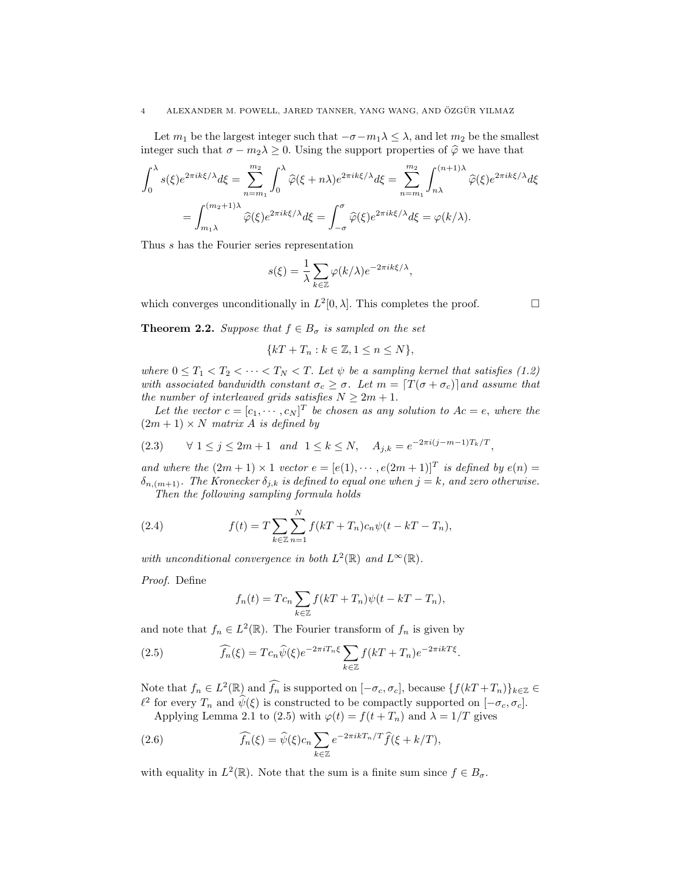Let  $m_1$  be the largest integer such that  $-\sigma - m_1 \lambda \leq \lambda$ , and let  $m_2$  be the smallest integer such that  $\sigma - m_2 \lambda \geq 0$ . Using the support properties of  $\hat{\varphi}$  we have that

$$
\int_0^\lambda s(\xi)e^{2\pi ik\xi/\lambda}d\xi = \sum_{n=m_1}^{m_2} \int_0^\lambda \widehat{\varphi}(\xi+n\lambda)e^{2\pi ik\xi/\lambda}d\xi = \sum_{n=m_1}^{m_2} \int_{n\lambda}^{(n+1)\lambda} \widehat{\varphi}(\xi)e^{2\pi ik\xi/\lambda}d\xi
$$

$$
= \int_{m_1\lambda}^{(m_2+1)\lambda} \widehat{\varphi}(\xi)e^{2\pi ik\xi/\lambda}d\xi = \int_{-\sigma}^{\sigma} \widehat{\varphi}(\xi)e^{2\pi ik\xi/\lambda}d\xi = \varphi(k/\lambda).
$$

Thus s has the Fourier series representation

$$
s(\xi) = \frac{1}{\lambda} \sum_{k \in \mathbb{Z}} \varphi(k/\lambda) e^{-2\pi i k \xi/\lambda},
$$

which converges unconditionally in  $L^2[0, \lambda]$ . This completes the proof.

**Theorem 2.2.** Suppose that  $f \in B_{\sigma}$  is sampled on the set

$$
\{kT + T_n : k \in \mathbb{Z}, 1 \le n \le N\},\
$$

where  $0 \leq T_1 < T_2 < \cdots < T_N < T$ . Let  $\psi$  be a sampling kernel that satisfies (1.2) with associated bandwidth constant  $\sigma_c \geq \sigma$ . Let  $m = \lfloor T(\sigma + \sigma_c) \rfloor$  and assume that the number of interleaved grids satisfies  $N \geq 2m + 1$ .

Let the vector  $c = [c_1, \dots, c_N]^T$  be chosen as any solution to  $Ac = e$ , where the  $(2m + 1) \times N$  matrix A is defined by

$$
(2.3) \qquad \forall \ 1 \le j \le 2m+1 \quad and \ 1 \le k \le N, \quad A_{j,k} = e^{-2\pi i (j-m-1)T_k/T},
$$

and where the  $(2m + 1) \times 1$  vector  $e = [e(1), \dots, e(2m + 1)]^T$  is defined by  $e(n) =$  $\delta_{n,(m+1)}$ . The Kronecker  $\delta_{j,k}$  is defined to equal one when  $j = k$ , and zero otherwise. Then the following sampling formula holds

(2.4) 
$$
f(t) = T \sum_{k \in \mathbb{Z}} \sum_{n=1}^{N} f(kT + T_n) c_n \psi(t - kT - T_n),
$$

with unconditional convergence in both  $L^2(\mathbb{R})$  and  $L^{\infty}(\mathbb{R})$ .

Proof. Define

$$
f_n(t) = Tc_n \sum_{k \in \mathbb{Z}} f(kT + T_n)\psi(t - kT - T_n),
$$

and note that  $f_n \in L^2(\mathbb{R})$ . The Fourier transform of  $f_n$  is given by

(2.5) 
$$
\widehat{f_n}(\xi) = T c_n \widehat{\psi}(\xi) e^{-2\pi i T_n \xi} \sum_{k \in \mathbb{Z}} f(kT + T_n) e^{-2\pi i kT \xi}.
$$

Note that  $f_n \in L^2(\mathbb{R})$  and  $\widehat{f_n}$  is supported on  $[-\sigma_c, \sigma_c]$ , because  $\{f(kT + T_n)\}_{k \in \mathbb{Z}} \in$  $\ell^2$  for every  $T_n$  and  $\widehat{\psi}(\xi)$  is constructed to be compactly supported on  $[-\sigma_c, \sigma_c]$ .

Applying Lemma 2.1 to (2.5) with  $\varphi(t) = f(t + T_n)$  and  $\lambda = 1/T$  gives

(2.6) 
$$
\widehat{f_n}(\xi) = \widehat{\psi}(\xi)c_n \sum_{k \in \mathbb{Z}} e^{-2\pi i k T_n/T} \widehat{f}(\xi + k/T),
$$

with equality in  $L^2(\mathbb{R})$ . Note that the sum is a finite sum since  $f \in B_{\sigma}$ .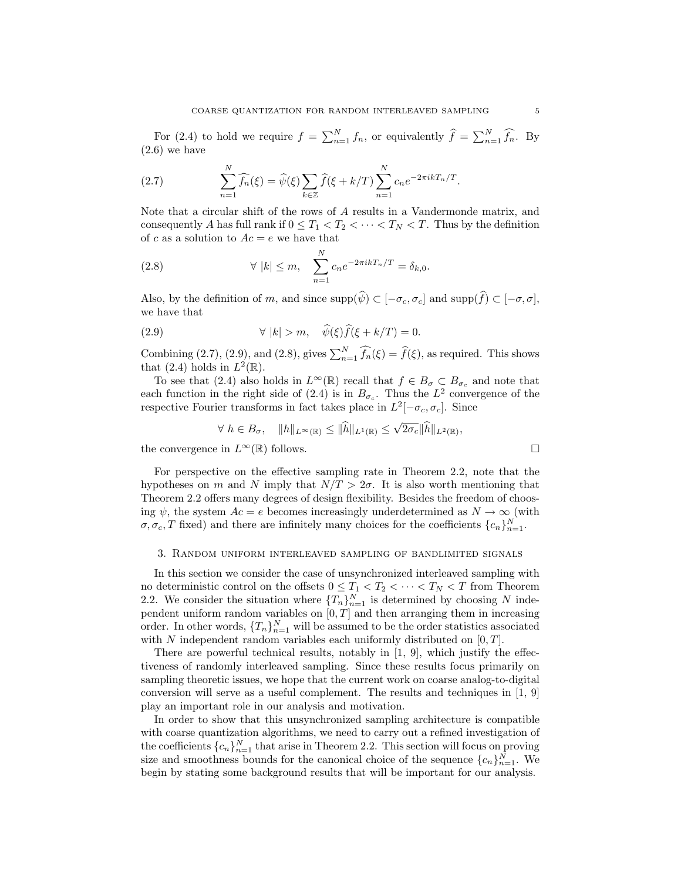For (2.4) to hold we require  $f = \sum_{n=1}^{N} f_n$ , or equivalently  $\hat{f} = \sum_{n=1}^{N} \hat{f}_n$ . By  $(2.6)$  we have

(2.7) 
$$
\sum_{n=1}^{N} \widehat{f_n}(\xi) = \widehat{\psi}(\xi) \sum_{k \in \mathbb{Z}} \widehat{f}(\xi + k/T) \sum_{n=1}^{N} c_n e^{-2\pi i k T_n/T}.
$$

Note that a circular shift of the rows of A results in a Vandermonde matrix, and consequently A has full rank if  $0 \leq T_1 < T_2 < \cdots < T_N < T$ . Thus by the definition of c as a solution to  $Ac = e$  we have that

(2.8) 
$$
\forall |k| \leq m, \quad \sum_{n=1}^{N} c_n e^{-2\pi i k T_n/T} = \delta_{k,0}.
$$

Also, by the definition of m, and since  $\text{supp}(\widehat{\psi}) \subset [-\sigma_c, \sigma_c]$  and  $\text{supp}(\widehat{f}) \subset [-\sigma, \sigma]$ , we have that

(2.9) 
$$
\forall |k| > m, \quad \widehat{\psi}(\xi)\widehat{f}(\xi + k/T) = 0.
$$

Combining (2.7), (2.9), and (2.8), gives  $\sum_{n=1}^{N} \widehat{f_n}(\xi) = \widehat{f}(\xi)$ , as required. This shows that (2.4) holds in  $L^2(\mathbb{R})$ .

To see that (2.4) also holds in  $L^{\infty}(\mathbb{R})$  recall that  $f \in B_{\sigma} \subset B_{\sigma_c}$  and note that each function in the right side of (2.4) is in  $B_{\sigma_c}$ . Thus the  $L^2$  convergence of the respective Fourier transforms in fact takes place in  $L^2[-\sigma_c, \sigma_c]$ . Since

$$
\forall h \in B_{\sigma}, \quad \|h\|_{L^{\infty}(\mathbb{R})} \leq \|\widehat{h}\|_{L^{1}(\mathbb{R})} \leq \sqrt{2\sigma_{c}}\|\widehat{h}\|_{L^{2}(\mathbb{R})},
$$

the convergence in  $L^{\infty}(\mathbb{R})$  follows.

For perspective on the effective sampling rate in Theorem 2.2, note that the hypotheses on m and N imply that 
$$
N/T > 2\sigma
$$
. It is also worth mentioning that Theorem 2.2 offers many degrees of design flexibility. Besides the freedom of choosing  $\psi$ , the system  $Ac = e$  becomes increasingly underdetermined as  $N \to \infty$  (with  $\sigma, \sigma_c, T$  fixed) and there are infinitely many choices for the coefficients  $\{c_n\}_{n=1}^N$ .

# 3. Random uniform interleaved sampling of bandlimited signals

In this section we consider the case of unsynchronized interleaved sampling with no deterministic control on the offsets  $0 \leq T_1 < T_2 < \cdots < T_N < T$  from Theorem 2.2. We consider the situation where  $\{T_n\}_{n=1}^N$  is determined by choosing N independent uniform random variables on  $[0, T]$  and then arranging them in increasing order. In other words,  $\{T_n\}_{n=1}^N$  will be assumed to be the order statistics associated with N independent random variables each uniformly distributed on  $[0, T]$ .

There are powerful technical results, notably in [1, 9], which justify the effectiveness of randomly interleaved sampling. Since these results focus primarily on sampling theoretic issues, we hope that the current work on coarse analog-to-digital conversion will serve as a useful complement. The results and techniques in [1, 9] play an important role in our analysis and motivation.

In order to show that this unsynchronized sampling architecture is compatible with coarse quantization algorithms, we need to carry out a refined investigation of the coefficients  ${c_n}_{n=1}^N$  that arise in Theorem 2.2. This section will focus on proving size and smoothness bounds for the canonical choice of the sequence  $\{c_n\}_{n=1}^N$ . We begin by stating some background results that will be important for our analysis.

$$
\Box
$$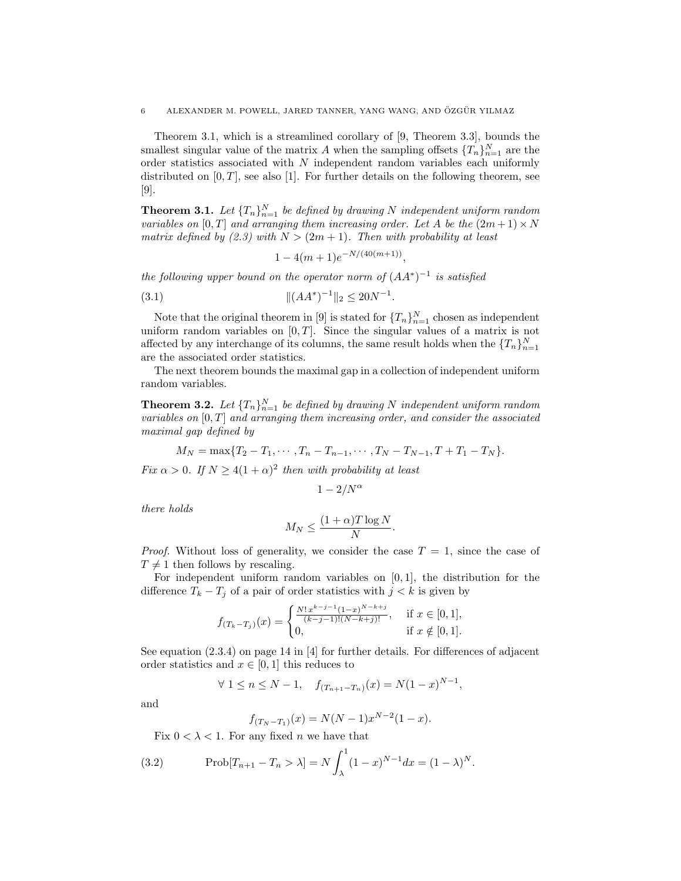Theorem 3.1, which is a streamlined corollary of [9, Theorem 3.3], bounds the smallest singular value of the matrix A when the sampling offsets  $\{T_n\}_{n=1}^N$  are the order statistics associated with  $N$  independent random variables each uniformly distributed on  $[0, T]$ , see also [1]. For further details on the following theorem, see [9].

**Theorem 3.1.** Let  ${T_n}_{n=1}^N$  be defined by drawing N independent uniform random variables on [0, T] and arranging them increasing order. Let A be the  $(2m+1) \times N$ matrix defined by (2.3) with  $N > (2m + 1)$ . Then with probability at least

$$
1 - 4(m+1)e^{-N/(40(m+1))},
$$

the following upper bound on the operator norm of  $(AA^*)^{-1}$  is satisfied

(3.1) 
$$
\|(AA^*)^{-1}\|_2 \le 20N^{-1}.
$$

Note that the original theorem in [9] is stated for  $\{T_n\}_{n=1}^N$  chosen as independent uniform random variables on  $[0, T]$ . Since the singular values of a matrix is not affected by any interchange of its columns, the same result holds when the  $\{T_n\}_{n=1}^N$ are the associated order statistics.

The next theorem bounds the maximal gap in a collection of independent uniform random variables.

**Theorem 3.2.** Let  ${T_n}_{n=1}^N$  be defined by drawing N independent uniform random variables on  $[0, T]$  and arranging them increasing order, and consider the associated maximal gap defined by

$$
M_N = \max\{T_2 - T_1, \cdots, T_n - T_{n-1}, \cdots, T_N - T_{N-1}, T + T_1 - T_N\}.
$$

Fix  $\alpha > 0$ . If  $N \geq 4(1+\alpha)^2$  then with probability at least

$$
1-2/N^{\alpha}
$$

there holds

$$
M_N \le \frac{(1+\alpha)T\log N}{N}
$$

.

*Proof.* Without loss of generality, we consider the case  $T = 1$ , since the case of  $T \neq 1$  then follows by rescaling.

For independent uniform random variables on  $[0, 1]$ , the distribution for the difference  $T_k - T_j$  of a pair of order statistics with  $j < k$  is given by

$$
f_{(T_k-T_j)}(x) = \begin{cases} \frac{N! \, x^{k-j-1} (1-x)^{N-k+j}}{(k-j-1)!(N-k+j)!}, & \text{if } x \in [0,1],\\ 0, & \text{if } x \notin [0,1]. \end{cases}
$$

See equation (2.3.4) on page 14 in [4] for further details. For differences of adjacent order statistics and  $x \in [0, 1]$  this reduces to

$$
\forall 1 \le n \le N - 1, \quad f_{(T_{n+1} - T_n)}(x) = N(1 - x)^{N-1},
$$

and

$$
f_{(T_N - T_1)}(x) = N(N - 1)x^{N-2}(1 - x).
$$

Fix  $0 < \lambda < 1$ . For any fixed *n* we have that

(3.2) 
$$
\text{Prob}[T_{n+1} - T_n > \lambda] = N \int_{\lambda}^{1} (1-x)^{N-1} dx = (1-\lambda)^N.
$$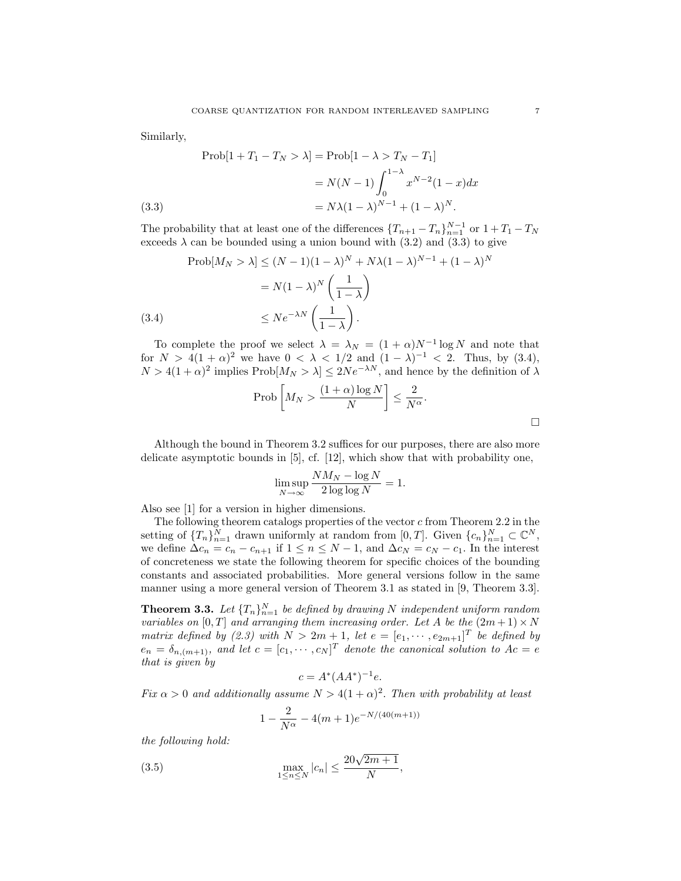Similarly,

(3.3)  
\n
$$
\text{Prob}[1 + T_1 - T_N > \lambda] = \text{Prob}[1 - \lambda > T_N - T_1]
$$
\n
$$
= N(N - 1) \int_0^{1 - \lambda} x^{N - 2} (1 - x) dx
$$
\n
$$
= N\lambda (1 - \lambda)^{N - 1} + (1 - \lambda)^N.
$$

The probability that at least one of the differences  ${T_{n+1} - T_n}_{n=1}^{N-1}$  or  $1 + T_1 - T_N$ exceeds  $\lambda$  can be bounded using a union bound with (3.2) and (3.3) to give

$$
\text{Prob}[M_N > \lambda] \le (N-1)(1-\lambda)^N + N\lambda(1-\lambda)^{N-1} + (1-\lambda)^N
$$
\n
$$
= N(1-\lambda)^N \left(\frac{1}{1-\lambda}\right)
$$
\n
$$
\le N e^{-\lambda N} \left(\frac{1}{1-\lambda}\right).
$$
\n(3.4)

To complete the proof we select  $\lambda = \lambda_N = (1 + \alpha)N^{-1} \log N$  and note that for  $N > 4(1+\alpha)^2$  we have  $0 < \lambda < 1/2$  and  $(1-\lambda)^{-1} < 2$ . Thus, by (3.4),  $N > 4(1+\alpha)^2$  implies Prob $[M_N > \lambda] \leq 2Ne^{-\lambda N}$ , and hence by the definition of  $\lambda$ 

$$
\operatorname{Prob}\left[M_N > \frac{(1+\alpha)\log N}{N}\right] \le \frac{2}{N^{\alpha}}.
$$

Although the bound in Theorem 3.2 suffices for our purposes, there are also more delicate asymptotic bounds in [5], cf. [12], which show that with probability one,

$$
\limsup_{N \to \infty} \frac{NM_N - \log N}{2 \log \log N} = 1.
$$

Also see [1] for a version in higher dimensions.

The following theorem catalogs properties of the vector  $c$  from Theorem 2.2 in the setting of  $\{T_n\}_{n=1}^N$  drawn uniformly at random from  $[0,T]$ . Given  $\{c_n\}_{n=1}^N \subset \mathbb{C}^N$ , we define  $\Delta c_n = c_n - c_{n+1}$  if  $1 \leq n \leq N-1$ , and  $\Delta c_N = c_N - c_1$ . In the interest of concreteness we state the following theorem for specific choices of the bounding constants and associated probabilities. More general versions follow in the same manner using a more general version of Theorem 3.1 as stated in [9, Theorem 3.3].

**Theorem 3.3.** Let  ${T_n}_{n=1}^N$  be defined by drawing N independent uniform random variables on  $[0, T]$  and arranging them increasing order. Let A be the  $(2m + 1) \times N$ matrix defined by (2.3) with  $N > 2m + 1$ , let  $e = [e_1, \dots, e_{2m+1}]^T$  be defined by  $e_n = \delta_{n,(m+1)}$ , and let  $c = [c_1, \cdots, c_N]^T$  denote the canonical solution to  $Ac = e$ that is given by

$$
c = A^*(AA^*)^{-1}e.
$$

Fix  $\alpha > 0$  and additionally assume  $N > 4(1+\alpha)^2$ . Then with probability at least

$$
1 - \frac{2}{N^{\alpha}} - 4(m+1)e^{-N/(40(m+1))}
$$

the following hold:

(3.5) 
$$
\max_{1 \le n \le N} |c_n| \le \frac{20\sqrt{2m+1}}{N},
$$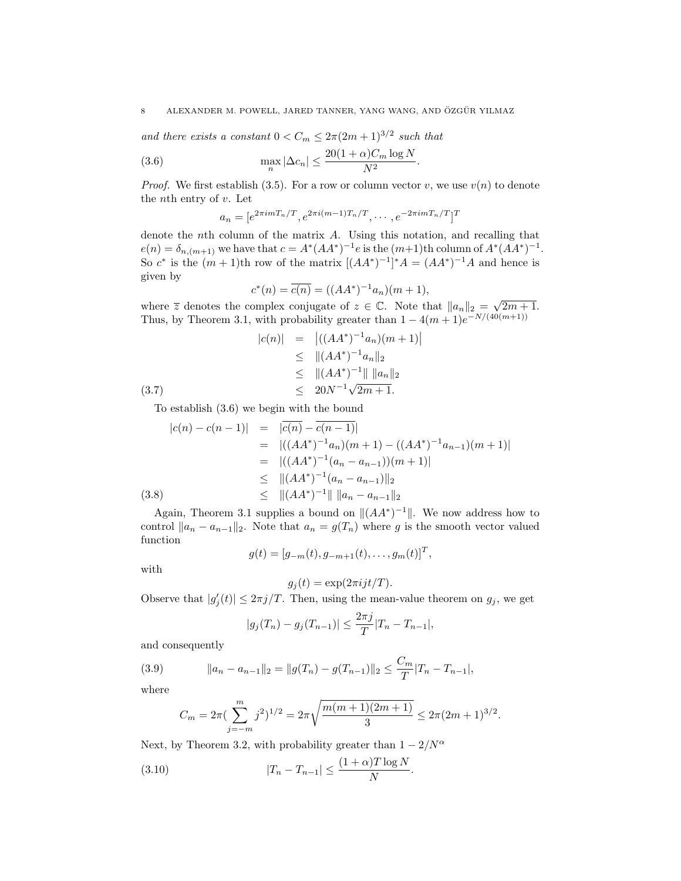and there exists a constant  $0 < C_m \leq 2\pi (2m+1)^{3/2}$  such that

(3.6) 
$$
\max_{n} |\Delta c_n| \leq \frac{20(1+\alpha)C_m \log N}{N^2}
$$

*Proof.* We first establish (3.5). For a row or column vector v, we use  $v(n)$  to denote the *n*<sup>th</sup> entry of  $v$ . Let

.

$$
a_n = [e^{2\pi i m T_n/T}, e^{2\pi i (m-1)T_n/T}, \cdots, e^{-2\pi i m T_n/T}]^T
$$

denote the nth column of the matrix A. Using this notation, and recalling that  $e(n) = \delta_{n,(m+1)}$  we have that  $c = A^*(AA^*)^{-1}e$  is the  $(m+1)$ th column of  $A^*(AA^*)^{-1}$ . So  $c^*$  is the  $(m+1)$ th row of the matrix  $[(AA^*)^{-1}]^*A = (AA^*)^{-1}A$  and hence is given by

$$
c^*(n) = \overline{c(n)} = ((AA^*)^{-1}a_n)(m+1),
$$

where  $\overline{z}$  denotes the complex conjugate of  $z \in \mathbb{C}$ . Note that  $||a_n||_2 = \sqrt{2m+1}$ . Thus, by Theorem 3.1, with probability greater than  $1 - 4(m+1)e^{-N/(40(m+1))}$ 

$$
|c(n)| = |((AA^*)^{-1}a_n)(m+1)|
$$
  
\n
$$
\leq ||(AA^*)^{-1}a_n||_2
$$
  
\n
$$
\leq ||(AA^*)^{-1}|| ||a_n||_2
$$
  
\n
$$
\leq 20N^{-1}\sqrt{2m+1}.
$$

To establish (3.6) we begin with the bound

$$
|c(n) - c(n-1)| = |\overline{c(n)} - \overline{c(n-1)}|
$$
  
\n
$$
= |((AA^*)^{-1}a_n)(m+1) - ((AA^*)^{-1}a_{n-1})(m+1)|
$$
  
\n
$$
= |((AA^*)^{-1}(a_n - a_{n-1}))(m+1)|
$$
  
\n
$$
\leq ||(AA^*)^{-1}(a_n - a_{n-1})||_2
$$
  
\n(3.8) 
$$
\leq ||(AA^*)^{-1}|| ||a_n - a_{n-1}||_2
$$

Again, Theorem 3.1 supplies a bound on  $||(AA^*)^{-1}||$ . We now address how to control  $||a_n - a_{n-1}||_2$ . Note that  $a_n = g(T_n)$  where g is the smooth vector valued function

$$
g(t) = [g_{-m}(t), g_{-m+1}(t), \dots, g_m(t)]^T,
$$

with

$$
g_j(t) = \exp(2\pi i j t/T).
$$

Observe that  $|g_j'(t)| \leq 2\pi j/T$ . Then, using the mean-value theorem on  $g_j$ , we get

$$
|g_j(T_n) - g_j(T_{n-1})| \le \frac{2\pi j}{T} |T_n - T_{n-1}|,
$$

and consequently

(3.9) 
$$
||a_n - a_{n-1}||_2 = ||g(T_n) - g(T_{n-1})||_2 \le \frac{C_m}{T} |T_n - T_{n-1}|,
$$

where

$$
C_m = 2\pi \left(\sum_{j=-m}^{m} j^2\right)^{1/2} = 2\pi \sqrt{\frac{m(m+1)(2m+1)}{3}} \le 2\pi (2m+1)^{3/2}.
$$

Next, by Theorem 3.2, with probability greater than  $1 - 2/N^{\alpha}$ 

(3.10) 
$$
|T_n - T_{n-1}| \le \frac{(1+\alpha)T \log N}{N}.
$$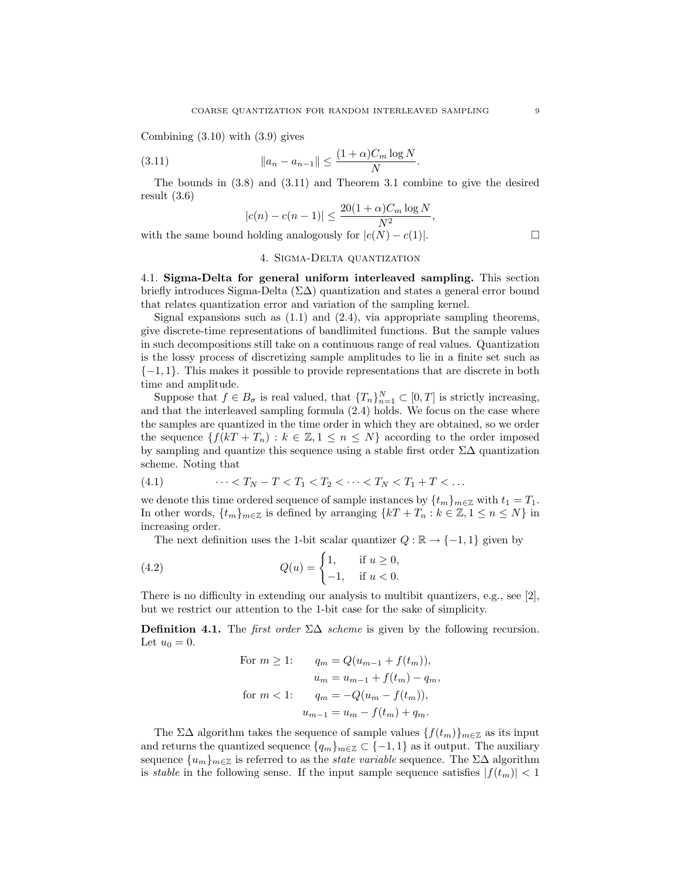Combining (3.10) with (3.9) gives

(3.11) 
$$
||a_n - a_{n-1}|| \leq \frac{(1+\alpha)C_m \log N}{N}.
$$

The bounds in (3.8) and (3.11) and Theorem 3.1 combine to give the desired result (3.6)

$$
|c(n) - c(n-1)| \le \frac{20(1+\alpha)C_m \log N}{N^2},
$$

with the same bound holding analogously for  $|c(N) - c(1)|$ .

### 4. Sigma-Delta quantization

4.1. Sigma-Delta for general uniform interleaved sampling. This section briefly introduces Sigma-Delta  $(\Sigma \Delta)$  quantization and states a general error bound that relates quantization error and variation of the sampling kernel.

Signal expansions such as  $(1.1)$  and  $(2.4)$ , via appropriate sampling theorems, give discrete-time representations of bandlimited functions. But the sample values in such decompositions still take on a continuous range of real values. Quantization is the lossy process of discretizing sample amplitudes to lie in a finite set such as  $\{-1, 1\}$ . This makes it possible to provide representations that are discrete in both time and amplitude.

Suppose that  $f \in B_{\sigma}$  is real valued, that  $\{T_n\}_{n=1}^N \subset [0,T]$  is strictly increasing, and that the interleaved sampling formula (2.4) holds. We focus on the case where the samples are quantized in the time order in which they are obtained, so we order the sequence  $\{f(kT + T_n) : k \in \mathbb{Z}, 1 \leq n \leq N\}$  according to the order imposed by sampling and quantize this sequence using a stable first order  $\Sigma\Delta$  quantization scheme. Noting that

$$
(4.1) \qquad \cdots < T_N - T < T_1 < T_2 < \cdots < T_N < T_1 + T < \dots
$$

we denote this time ordered sequence of sample instances by  $\{t_m\}_{m\in\mathbb{Z}}$  with  $t_1 = T_1$ . In other words,  $\{t_m\}_{m\in\mathbb{Z}}$  is defined by arranging  $\{kT + T_n : k \in \mathbb{Z}, 1 \le n \le N\}$  in increasing order.

The next definition uses the 1-bit scalar quantizer  $Q : \mathbb{R} \to \{-1, 1\}$  given by

(4.2) 
$$
Q(u) = \begin{cases} 1, & \text{if } u \ge 0, \\ -1, & \text{if } u < 0. \end{cases}
$$

There is no difficulty in extending our analysis to multibit quantizers, e.g., see [2], but we restrict our attention to the 1-bit case for the sake of simplicity.

**Definition 4.1.** The *first order*  $\Sigma\Delta$  *scheme* is given by the following recursion. Let  $u_0 = 0$ .

For 
$$
m \ge 1
$$
:  
\n $q_m = Q(u_{m-1} + f(t_m)),$   
\n $u_m = u_{m-1} + f(t_m) - q_m,$   
\nfor  $m < 1$ :  
\n $q_m = -Q(u_m - f(t_m)),$   
\n $u_{m-1} = u_m - f(t_m) + q_m.$ 

The  $\Sigma\Delta$  algorithm takes the sequence of sample values  $\{f(t_m)\}_{m\in\mathbb{Z}}$  as its input and returns the quantized sequence  $\{q_m\}_{m\in\mathbb{Z}} \subset \{-1,1\}$  as it output. The auxiliary sequence  $\{u_m\}_{m\in\mathbb{Z}}$  is referred to as the *state variable* sequence. The  $\Sigma\Delta$  algorithm is *stable* in the following sense. If the input sample sequence satisfies  $|f(t_m)| < 1$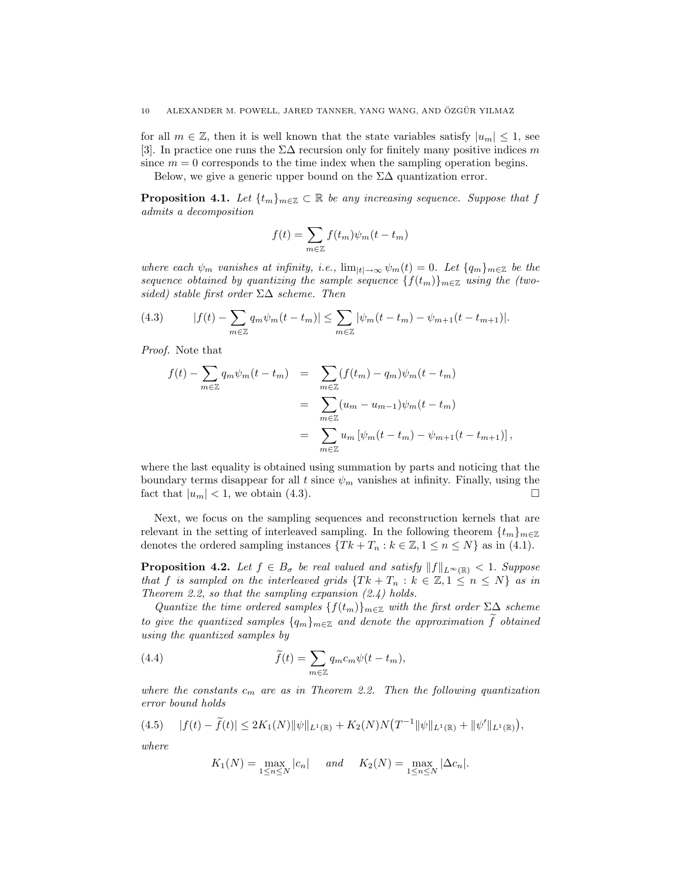for all  $m \in \mathbb{Z}$ , then it is well known that the state variables satisfy  $|u_m| \leq 1$ , see [3]. In practice one runs the  $\Sigma\Delta$  recursion only for finitely many positive indices  $m$ since  $m = 0$  corresponds to the time index when the sampling operation begins.

Below, we give a generic upper bound on the  $\Sigma\Delta$  quantization error.

**Proposition 4.1.** Let  $\{t_m\}_{m\in\mathbb{Z}}\subset\mathbb{R}$  be any increasing sequence. Suppose that f admits a decomposition

$$
f(t) = \sum_{m \in \mathbb{Z}} f(t_m) \psi_m(t - t_m)
$$

where each  $\psi_m$  vanishes at infinity, i.e.,  $\lim_{|t|\to\infty} \psi_m(t) = 0$ . Let  $\{q_m\}_{m\in\mathbb{Z}}$  be the sequence obtained by quantizing the sample sequence  $\{f(t_m)\}_{m\in\mathbb{Z}}$  using the (twosided) stable first order  $\Sigma\Delta$  scheme. Then

(4.3) 
$$
|f(t) - \sum_{m \in \mathbb{Z}} q_m \psi_m(t - t_m)| \leq \sum_{m \in \mathbb{Z}} |\psi_m(t - t_m) - \psi_{m+1}(t - t_{m+1})|.
$$

Proof. Note that

$$
f(t) - \sum_{m \in \mathbb{Z}} q_m \psi_m(t - t_m) = \sum_{m \in \mathbb{Z}} (f(t_m) - q_m) \psi_m(t - t_m)
$$
  
= 
$$
\sum_{m \in \mathbb{Z}} (u_m - u_{m-1}) \psi_m(t - t_m)
$$
  
= 
$$
\sum_{m \in \mathbb{Z}} u_m [\psi_m(t - t_m) - \psi_{m+1}(t - t_{m+1})],
$$

where the last equality is obtained using summation by parts and noticing that the boundary terms disappear for all t since  $\psi_m$  vanishes at infinity. Finally, using the fact that  $|u_m| < 1$ , we obtain (4.3).

Next, we focus on the sampling sequences and reconstruction kernels that are relevant in the setting of interleaved sampling. In the following theorem  $\{t_m\}_{m\in\mathbb{Z}}$ denotes the ordered sampling instances  $\{Tk + T_n : k \in \mathbb{Z}, 1 \le n \le N\}$  as in (4.1).

**Proposition 4.2.** Let  $f \in B_{\sigma}$  be real valued and satisfy  $||f||_{L^{\infty}(\mathbb{R})} < 1$ . Suppose that f is sampled on the interleaved grids  $\{Tk + T_n : k \in \mathbb{Z}, 1 \leq n \leq N\}$  as in Theorem 2.2, so that the sampling expansion  $(2.4)$  holds.

Quantize the time ordered samples  $\{f(t_m)\}_{m\in\mathbb{Z}}$  with the first order  $\Sigma\Delta$  scheme to give the quantized samples  ${q_m}_{m\in\mathbb{Z}}$  and denote the approximation  $\tilde{f}$  obtained using the quantized samples by

(4.4) 
$$
\widetilde{f}(t) = \sum_{m \in \mathbb{Z}} q_m c_m \psi(t - t_m),
$$

where the constants  $c_m$  are as in Theorem 2.2. Then the following quantization error bound holds

$$
(4.5) \t |f(t) - \tilde{f}(t)| \le 2K_1(N) \|\psi\|_{L^1(\mathbb{R})} + K_2(N)N(T^{-1} \|\psi\|_{L^1(\mathbb{R})} + \|\psi'\|_{L^1(\mathbb{R})}),
$$

where

$$
K_1(N) = \max_{1 \le n \le N} |c_n|
$$
 and  $K_2(N) = \max_{1 \le n \le N} |\Delta c_n|$ .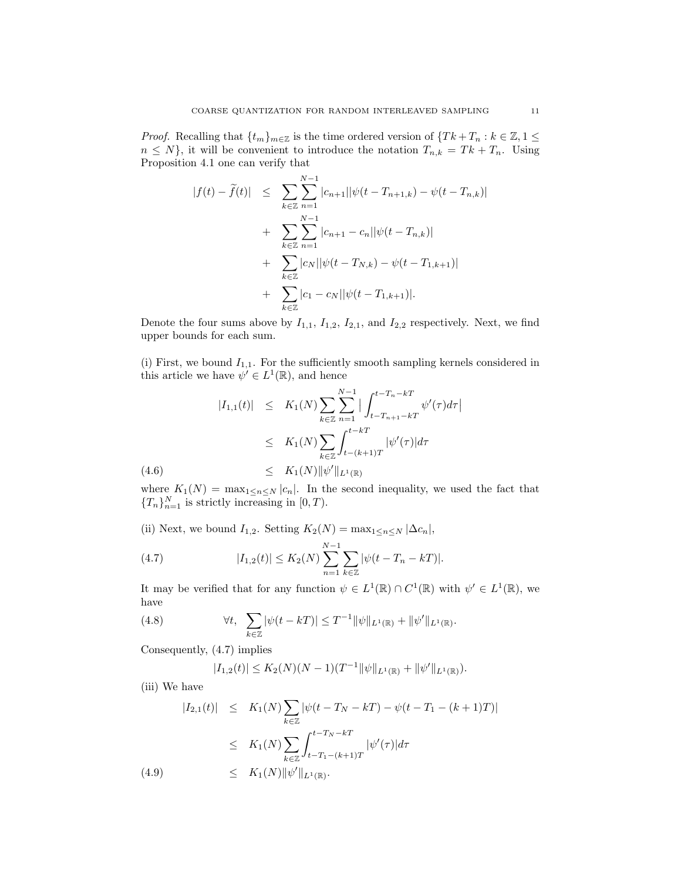*Proof.* Recalling that  $\{t_m\}_{m\in\mathbb{Z}}$  is the time ordered version of  $\{Tk+T_n : k \in \mathbb{Z}, 1 \leq k \leq N\}$  $n \leq N$ , it will be convenient to introduce the notation  $T_{n,k} = Tk + T_n$ . Using Proposition 4.1 one can verify that

$$
|f(t) - \tilde{f}(t)| \leq \sum_{k \in \mathbb{Z}} \sum_{n=1}^{N-1} |c_{n+1}| |\psi(t - T_{n+1,k}) - \psi(t - T_{n,k})|
$$
  
+ 
$$
\sum_{k \in \mathbb{Z}} \sum_{n=1}^{N-1} |c_{n+1} - c_n| |\psi(t - T_{n,k})|
$$
  
+ 
$$
\sum_{k \in \mathbb{Z}} |c_N| |\psi(t - T_{N,k}) - \psi(t - T_{1,k+1})|
$$
  
+ 
$$
\sum_{k \in \mathbb{Z}} |c_1 - c_N| |\psi(t - T_{1,k+1})|.
$$

Denote the four sums above by  $I_{1,1}$ ,  $I_{1,2}$ ,  $I_{2,1}$ , and  $I_{2,2}$  respectively. Next, we find upper bounds for each sum.

(i) First, we bound  $I_{1,1}$ . For the sufficiently smooth sampling kernels considered in this article we have  $\psi' \in L^1(\mathbb{R})$ , and hence

$$
|I_{1,1}(t)| \leq K_1(N) \sum_{k \in \mathbb{Z}} \sum_{n=1}^{N-1} \left| \int_{t-T_{n+1}-kT}^{t-T_{n}-kT} \psi'(\tau) d\tau \right|
$$
  

$$
\leq K_1(N) \sum_{k \in \mathbb{Z}} \int_{t-(k+1)T}^{t-kT} |\psi'(\tau)| d\tau
$$
  
(4.6) 
$$
\leq K_1(N) \|\psi'\|_{L^1(\mathbb{R})}
$$

where  $K_1(N) = \max_{1 \leq n \leq N} |c_n|$ . In the second inequality, we used the fact that  ${T_n}_{n=1}^N$  is strictly increasing in  $[0, T)$ .

(ii) Next, we bound  $I_{1,2}$ . Setting  $K_2(N) = \max_{1 \leq n \leq N} |\Delta c_n|$ ,

(4.7) 
$$
|I_{1,2}(t)| \le K_2(N) \sum_{n=1}^{N-1} \sum_{k \in \mathbb{Z}} |\psi(t - T_n - kT)|.
$$

It may be verified that for any function  $\psi \in L^1(\mathbb{R}) \cap C^1(\mathbb{R})$  with  $\psi' \in L^1(\mathbb{R})$ , we have

(4.8) 
$$
\forall t, \sum_{k \in \mathbb{Z}} |\psi(t - kT)| \leq T^{-1} ||\psi||_{L^{1}(\mathbb{R})} + ||\psi'||_{L^{1}(\mathbb{R})}.
$$

Consequently, (4.7) implies

$$
|I_{1,2}(t)| \leq K_2(N)(N-1)(T^{-1}||\psi||_{L^1(\mathbb{R})} + ||\psi'||_{L^1(\mathbb{R})}).
$$

(iii) We have

$$
|I_{2,1}(t)| \leq K_1(N) \sum_{k \in \mathbb{Z}} |\psi(t - T_N - kT) - \psi(t - T_1 - (k+1)T)|
$$
  
\n
$$
\leq K_1(N) \sum_{k \in \mathbb{Z}} \int_{t - T_1 - (k+1)T}^{t - T_N - kT} |\psi'(\tau)| d\tau
$$
  
\n(4.9) 
$$
\leq K_1(N) ||\psi'||_{L^1(\mathbb{R})}.
$$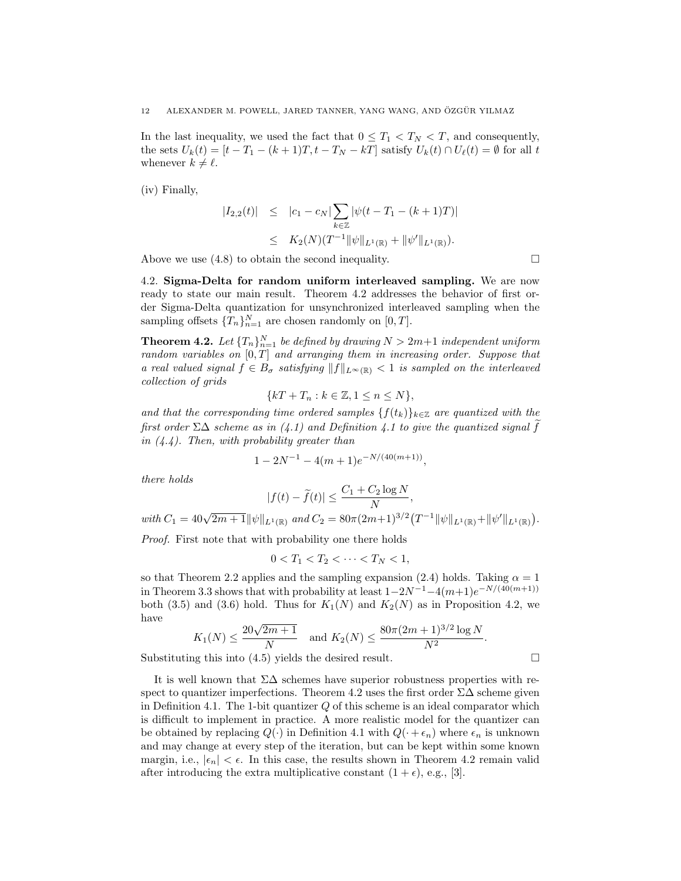In the last inequality, we used the fact that  $0 \leq T_1 < T_N < T$ , and consequently, the sets  $U_k(t) = [t - T_1 - (k+1)T, t - T_N - kT]$  satisfy  $U_k(t) \cap U_\ell(t) = \emptyset$  for all t whenever  $k \neq \ell$ .

(iv) Finally,

$$
|I_{2,2}(t)| \leq |c_1 - c_N| \sum_{k \in \mathbb{Z}} |\psi(t - T_1 - (k+1)T)|
$$
  
 
$$
\leq K_2(N)(T^{-1} ||\psi||_{L^1(\mathbb{R})} + ||\psi'||_{L^1(\mathbb{R})}).
$$

Above we use  $(4.8)$  to obtain the second inequality.  $\Box$ 

4.2. Sigma-Delta for random uniform interleaved sampling. We are now ready to state our main result. Theorem 4.2 addresses the behavior of first order Sigma-Delta quantization for unsynchronized interleaved sampling when the sampling offsets  $\{T_n\}_{n=1}^N$  are chosen randomly on  $[0, T]$ .

**Theorem 4.2.** Let  ${T_n}_{n=1}^N$  be defined by drawing  $N > 2m+1$  independent uniform random variables on  $[0, T]$  and arranging them in increasing order. Suppose that a real valued signal  $f \in B_{\sigma}$  satisfying  $||f||_{L^{\infty}(\mathbb{R})} < 1$  is sampled on the interleaved collection of grids

$$
\{kT + T_n : k \in \mathbb{Z}, 1 \le n \le N\},\
$$

and that the corresponding time ordered samples  ${f(t_k)}_{k \in \mathbb{Z}}$  are quantized with the first order  $\Sigma\Delta$  scheme as in (4.1) and Definition 4.1 to give the quantized signal f in  $(4.4)$ . Then, with probability greater than

$$
1 - 2N^{-1} - 4(m+1)e^{-N/(40(m+1))},
$$

there holds

$$
|f(t) - \tilde{f}(t)| \le \frac{C_1 + C_2 \log N}{N},
$$
  
with  $C_1 = 40\sqrt{2m+1} ||\psi||_{L^1(\mathbb{R})}$  and  $C_2 = 80\pi (2m+1)^{3/2} (T^{-1} ||\psi||_{L^1(\mathbb{R})} + ||\psi'||_{L^1(\mathbb{R})}).$ 

Proof. First note that with probability one there holds

$$
0 < T_1 < T_2 < \cdots < T_N < 1,
$$

so that Theorem 2.2 applies and the sampling expansion (2.4) holds. Taking  $\alpha = 1$ in Theorem 3.3 shows that with probability at least  $1-2N^{-1}-4(m+1)e^{-N/(40(m+1))}$ both (3.5) and (3.6) hold. Thus for  $K_1(N)$  and  $K_2(N)$  as in Proposition 4.2, we have

$$
K_1(N) \le \frac{20\sqrt{2m+1}}{N}
$$
 and  $K_2(N) \le \frac{80\pi(2m+1)^{3/2}\log N}{N^2}$ .

Substituting this into  $(4.5)$  yields the desired result.

It is well known that  $\Sigma\Delta$  schemes have superior robustness properties with respect to quantizer imperfections. Theorem 4.2 uses the first order  $\Sigma\Delta$  scheme given in Definition 4.1. The 1-bit quantizer  $Q$  of this scheme is an ideal comparator which is difficult to implement in practice. A more realistic model for the quantizer can be obtained by replacing  $Q(\cdot)$  in Definition 4.1 with  $Q(\cdot + \epsilon_n)$  where  $\epsilon_n$  is unknown and may change at every step of the iteration, but can be kept within some known margin, i.e.,  $|\epsilon_n| < \epsilon$ . In this case, the results shown in Theorem 4.2 remain valid after introducing the extra multiplicative constant  $(1 + \epsilon)$ , e.g., [3].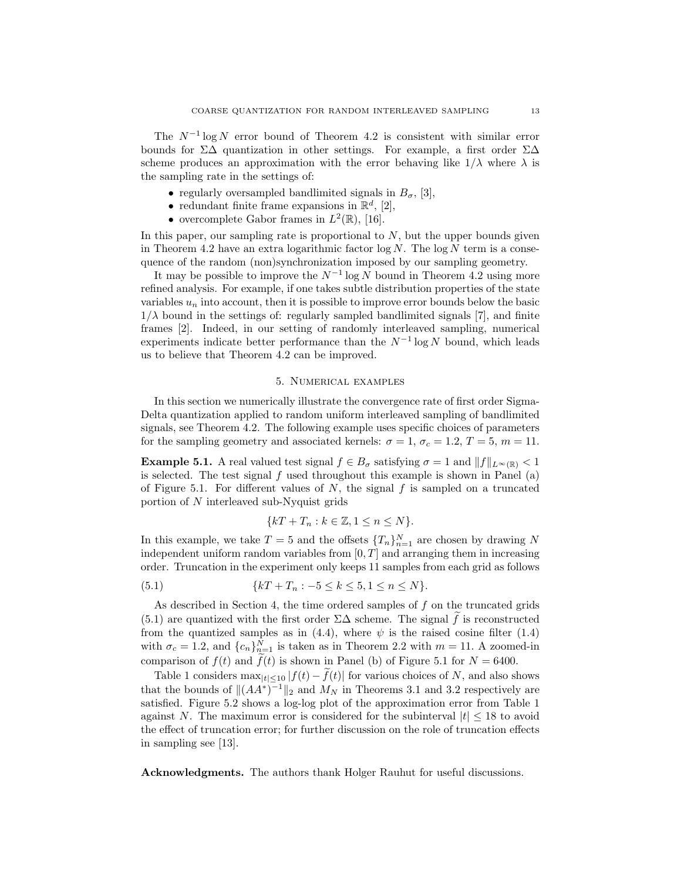The  $N^{-1}$  log N error bound of Theorem 4.2 is consistent with similar error bounds for  $\Sigma\Delta$  quantization in other settings. For example, a first order  $\Sigma\Delta$ scheme produces an approximation with the error behaving like  $1/\lambda$  where  $\lambda$  is the sampling rate in the settings of:

- regularly oversampled bandlimited signals in  $B_{\sigma}$ , [3],
- redundant finite frame expansions in  $\mathbb{R}^d$ , [2],
- overcomplete Gabor frames in  $L^2(\mathbb{R})$ , [16].

In this paper, our sampling rate is proportional to  $N$ , but the upper bounds given in Theorem 4.2 have an extra logarithmic factor  $\log N$ . The  $\log N$  term is a consequence of the random (non)synchronization imposed by our sampling geometry.

It may be possible to improve the  $N^{-1}$  log N bound in Theorem 4.2 using more refined analysis. For example, if one takes subtle distribution properties of the state variables  $u_n$  into account, then it is possible to improve error bounds below the basic  $1/\lambda$  bound in the settings of: regularly sampled bandlimited signals [7], and finite frames [2]. Indeed, in our setting of randomly interleaved sampling, numerical experiments indicate better performance than the  $N^{-1} \log N$  bound, which leads us to believe that Theorem 4.2 can be improved.

#### 5. Numerical examples

In this section we numerically illustrate the convergence rate of first order Sigma-Delta quantization applied to random uniform interleaved sampling of bandlimited signals, see Theorem 4.2. The following example uses specific choices of parameters for the sampling geometry and associated kernels:  $\sigma = 1$ ,  $\sigma_c = 1.2$ ,  $T = 5$ ,  $m = 11$ .

**Example 5.1.** A real valued test signal  $f \in B_{\sigma}$  satisfying  $\sigma = 1$  and  $||f||_{L^{\infty}(\mathbb{R})} < 1$ is selected. The test signal  $f$  used throughout this example is shown in Panel (a) of Figure 5.1. For different values of  $N$ , the signal  $f$  is sampled on a truncated portion of N interleaved sub-Nyquist grids

$$
\{kT + T_n : k \in \mathbb{Z}, 1 \le n \le N\}.
$$

In this example, we take  $T = 5$  and the offsets  $\{T_n\}_{n=1}^N$  are chosen by drawing N independent uniform random variables from  $[0, T]$  and arranging them in increasing order. Truncation in the experiment only keeps 11 samples from each grid as follows

(5.1) 
$$
\{kT + T_n : -5 \le k \le 5, 1 \le n \le N\}.
$$

As described in Section 4, the time ordered samples of  $f$  on the truncated grids (5.1) are quantized with the first order  $\Sigma\Delta$  scheme. The signal  $\tilde{f}$  is reconstructed from the quantized samples as in (4.4), where  $\psi$  is the raised cosine filter (1.4) with  $\sigma_c = 1.2$ , and  $\{c_n\}_{n=1}^N$  is taken as in Theorem 2.2 with  $m = 11$ . A zoomed-in comparison of  $f(t)$  and  $\tilde{f}(t)$  is shown in Panel (b) of Figure 5.1 for  $N = 6400$ .

Table 1 considers  $\max_{|t| \leq 10} |f(t) - \tilde{f}(t)|$  for various choices of N, and also shows that the bounds of  $\|(AA^*)^{-1}\|_2$  and  $M_N$  in Theorems 3.1 and 3.2 respectively are satisfied. Figure 5.2 shows a log-log plot of the approximation error from Table 1 against N. The maximum error is considered for the subinterval  $|t| \leq 18$  to avoid the effect of truncation error; for further discussion on the role of truncation effects in sampling see [13].

Acknowledgments. The authors thank Holger Rauhut for useful discussions.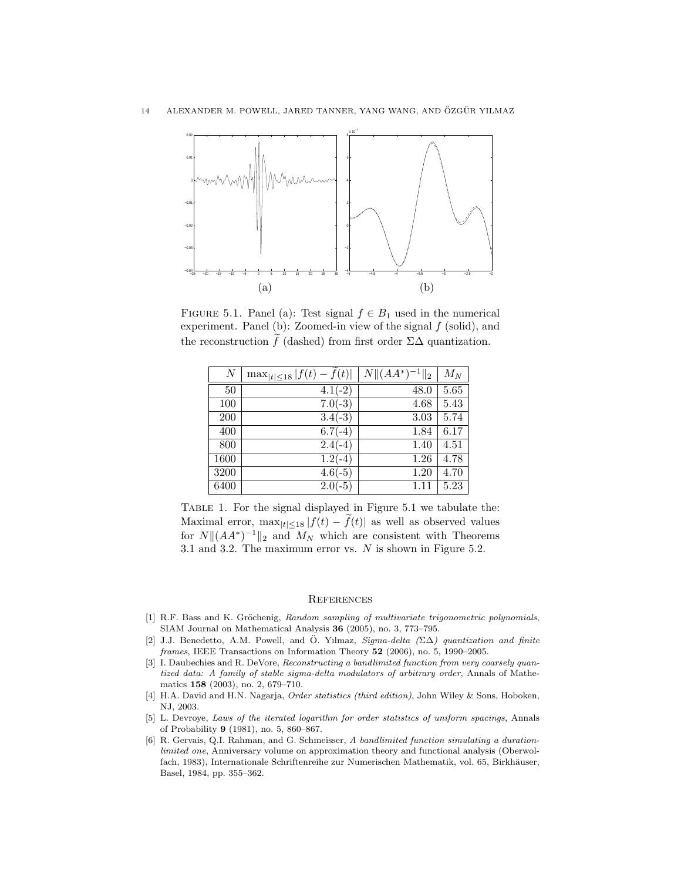

FIGURE 5.1. Panel (a): Test signal  $f \in B_1$  used in the numerical experiment. Panel (b): Zoomed-in view of the signal  $f$  (solid), and the reconstruction f (dashed) from first order  $\Sigma\Delta$  quantization.

| $\boldsymbol{N}$ | $\max_{ t  \leq 18}  f(t) - f(t) $ | $N  (AA^*)^{-1}  _2$ | $M_N$ |
|------------------|------------------------------------|----------------------|-------|
| 50               | $4.1(-2)$                          | 48.0                 | 5.65  |
| 100              | $7.0(-3)$                          | 4.68                 | 5.43  |
| 200              | $3.4(-3)$                          | 3.03                 | 5.74  |
| 400              | $6.7(-4)$                          | 1.84                 | 6.17  |
| 800              | $2.4(-4)$                          | 1.40                 | 4.51  |
| 1600             | $1.2(-4)$                          | 1.26                 | 4.78  |
| 3200             | $4.6(-5)$                          | 1.20                 | 4.70  |
| 6400             | $2.0(-5)$                          | 1.11                 | 5.23  |

Table 1. For the signal displayed in Figure 5.1 we tabulate the: Maximal error,  $\max_{|t| \leq 18} |f(t) - f(t)|$  as well as observed values for  $N||(AA^*)^{-1}||_2$  and  $M_N$  which are consistent with Theorems 3.1 and 3.2. The maximum error vs. N is shown in Figure 5.2.

## **REFERENCES**

- [1] R.F. Bass and K. Gröchenig, Random sampling of multivariate trigonometric polynomials, SIAM Journal on Mathematical Analysis 36 (2005), no. 3, 773–795.
- [2] J.J. Benedetto, A.M. Powell, and Ö. Yılmaz, Sigma-delta ( $\Sigma\Delta$ ) quantization and finite  $frames$ , IEEE Transactions on Information Theory  $52$  (2006), no. 5, 1990–2005.
- [3] I. Daubechies and R. DeVore, Reconstructing a bandlimited function from very coarsely quantized data: A family of stable sigma-delta modulators of arbitrary order, Annals of Mathematics 158 (2003), no. 2, 679–710.
- [4] H.A. David and H.N. Nagarja, Order statistics (third edition), John Wiley & Sons, Hoboken, NJ, 2003.
- [5] L. Devroye, Laws of the iterated logarithm for order statistics of uniform spacings, Annals of Probability 9 (1981), no. 5, 860–867.
- [6] R. Gervais, Q.I. Rahman, and G. Schmeisser, A bandlimited function simulating a durationlimited one, Anniversary volume on approximation theory and functional analysis (Oberwolfach, 1983), Internationale Schriftenreihe zur Numerischen Mathematik, vol. 65, Birkhäuser, Basel, 1984, pp. 355–362.